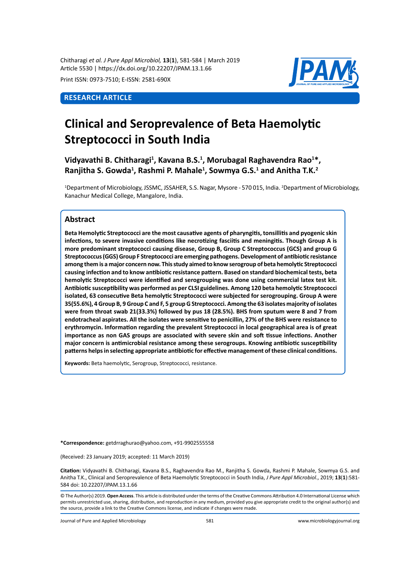Chitharagi *et al. J Pure Appl Microbiol,* **13**(**1**), 581-584 | March 2019 Article 5530 | https://dx.doi.org/10.22207/JPAM.13.1.66

Print ISSN: 0973-7510; E-ISSN: 2581-690X

## **Research Article**



# **Clinical and Seroprevalence of Beta Haemolytic Streptococci in South India**

Vidyavathi B. Chitharagi<sup>1</sup>, Kavana B.S.<sup>1</sup>, Morubagal Raghavendra Rao<sup>1\*</sup>, Ranjitha S. Gowda<sup>1</sup>, Rashmi P. Mahale<sup>1</sup>, Sowmya G.S.<sup>1</sup> and Anitha T.K.<sup>2</sup>

<sup>1</sup>Department of Microbiology, JSSMC, JSSAHER, S.S. Nagar, Mysore - 570 015, India. <sup>2</sup>Department of Microbiology, Kanachur Medical College, Mangalore, India.

### **Abstract**

**Beta Hemolytic Streptococci are the most causative agents of pharyngitis, tonsillitis and pyogenic skin infections, to severe invasive conditions like necrotizing fasciitis and meningitis. Though Group A is more predominant streptococci causing disease, Group B, Group C Streptococcus (GCS) and group G Streptococcus (GGS) Group F Streptococci are emerging pathogens. Development of antibiotic resistance among them is a major concern now. This study aimed to know serogroup of beta hemolytic Streptococci causing infection and to know antibiotic resistance pattern. Based on standard biochemical tests, beta hemolytic Streptococci were identified and serogrouping was done using commercial latex test kit. Antibiotic susceptibility was performed as per CLSI guidelines. Among 120 beta hemolytic Streptococci isolated, 63 consecutive Beta hemolytic Streptococci were subjected for serogrouping. Group A were 35(55.6%), 4 Group B, 9 Group C and F, 5 group G Streptococci. Among the 63 isolates majority of isolates were from throat swab 21(33.3%) followed by pus 18 (28.5%). BHS from sputum were 8 and 7 from endotracheal aspirates. All the isolates were sensitive to penicillin, 27% of the BHS were resistance to erythromycin. Information regarding the prevalent Streptococci in local geographical area is of great importance as non GAS groups are associated with severe skin and soft tissue infections. Another major concern is antimicrobial resistance among these serogroups. Knowing antibiotic susceptibility patterns helps in selecting appropriate antibiotic for effective management of these clinical conditions.** 

**Keywords:** Beta haemolytic, Serogroup, Streptococci, resistance.

**\*Correspondence:** getdrraghurao@yahoo.com, +91-9902555558

(Received: 23 January 2019; accepted: 11 March 2019)

**Citation:** Vidyavathi B. Chitharagi, Kavana B.S., Raghavendra Rao M., Ranjitha S. Gowda, Rashmi P. Mahale, Sowmya G.S. and Anitha T.K., Clinical and Seroprevalence of Beta Haemolytic Streptococci in South India, *J Pure Appl Microbiol*., 2019; **13**(**1**):581- 584 doi: 10.22207/JPAM.13.1.66

© The Author(s) 2019. **Open Access**. This article is distributed under the terms of the Creative Commons Attribution 4.0 International License which permits unrestricted use, sharing, distribution, and reproduction in any medium, provided you give appropriate credit to the original author(s) and the source, provide a link to the Creative Commons license, and indicate if changes were made.

Journal of Pure and Applied Microbiology 581 www.microbiologyjournal.org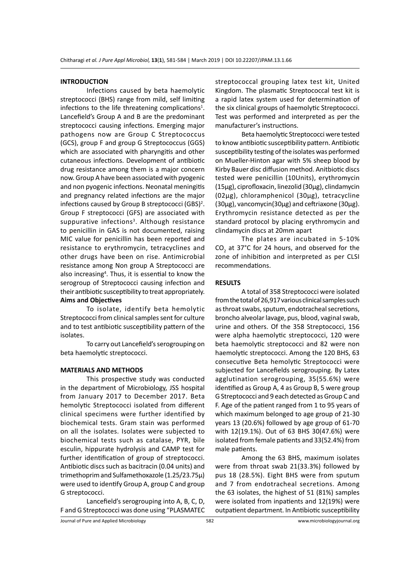#### **INTRODUCTION**

Infections caused by beta haemolytic streptococci (BHS) range from mild, self limiting infections to the life threatening complications<sup>1</sup>. Lancefield's Group A and B are the predominant streptococci causing infections. Emerging major pathogens now are Group C Streptococcus (GCS), group F and group G Streptococcus (GGS) which are associated with pharyngitis and other cutaneous infections. Development of antibiotic drug resistance among them is a major concern now. Group A have been associated with pyogenic and non pyogenic infections. Neonatal meningitis and pregnancy related infections are the major infections caused by Group B streptococci (GBS)<sup>2</sup>. Group F streptococci (GFS) are associated with suppurative infections<sup>3</sup>. Although resistance to penicillin in GAS is not documented, raising MIC value for penicillin has been reported and resistance to erythromycin, tetracyclines and other drugs have been on rise. Antimicrobial resistance among Non group A Streptococci are also increasing<sup>4</sup>. Thus, it is essential to know the serogroup of Streptococci causing infection and their antibiotic susceptibility to treat appropriately. **Aims and Objectives** 

To isolate, identify beta hemolytic Streptococci from clinical samples sent for culture and to test antibiotic susceptibility pattern of the isolates.

To carry out Lancefield's serogrouping on beta haemolytic streptococci.

#### **MATERIALS AND METHODS**

This prospective study was conducted in the department of Microbiology, JSS hospital from January 2017 to December 2017. Beta hemolytic Streptococci isolated from different clinical specimens were further identified by biochemical tests. Gram stain was performed on all the isolates. Isolates were subjected to biochemical tests such as catalase, PYR, bile esculin, hippurate hydrolysis and CAMP test for further identification of group of streptococci. Antibiotic discs such as bacitracin (0.04 units) and trimethoprim and Sulfamethoxazole (1.25/23.75µ) were used to identify Group A, group C and group G streptococci.

Lancefield's serogrouping into A, B, C, D, F and G Streptococci was done using "PLASMATEC streptococcal grouping latex test kit, United Kingdom. The plasmatic Streptococcal test kit is a rapid latex system used for determination of the six clinical groups of haemolytic Streptococci. Test was performed and interpreted as per the manufacturer's instructions.

Beta haemolytic Streptococci were tested to know antibiotic susceptibility pattern. Antibiotic susceptibility testing of the isolates was performed on Mueller-Hinton agar with 5% sheep blood by Kirby Bauer disc diffusion method. Anitbiotic discs tested were penicillin (10Units), erythromycin (15µg), ciprofloxacin, linezolid (30µg), clindamycin (02µg), chloramphenicol (30µg), tetracycline (30µg), vancomycin(30µg) and ceftriaxone (30µg). Erythromycin resistance detected as per the standard protocol by placing erythromycin and clindamycin discs at 20mm apart

The plates are incubated in 5-10%  $CO<sub>2</sub>$  at 37°C for 24 hours, and observed for the zone of inhibition and interpreted as per CLSI recommendations.

#### **RESULTS**

A total of 358 Streptococci were isolated from the total of 26,917 various clinical samples such as throat swabs, sputum, endotracheal secretions, broncho alveolar lavage, pus, blood, vaginal swab, urine and others. Of the 358 Streptococci, 156 were alpha haemolytic streptococci, 120 were beta haemolytic streptococci and 82 were non haemolytic streptococci. Among the 120 BHS, 63 consecutive Beta hemolytic Streptococci were subjected for Lancefields serogrouping. By Latex agglutination serogrouping, 35(55.6%) were identified as Group A, 4 as Group B, 5 were group G Streptococci and 9 each detected as Group C and F. Age of the patient ranged from 1 to 95 years of which maximum belonged to age group of 21-30 years 13 (20.6%) followed by age group of 61-70 with 12(19.1%). Out of 63 BHS 30(47.6%) were isolated from female patients and 33(52.4%) from male patients.

Among the 63 BHS, maximum isolates were from throat swab 21(33.3%) followed by pus 18 (28.5%). Eight BHS were from sputum and 7 from endotracheal secretions. Among the 63 isolates, the highest of 51 (81%) samples were isolated from inpatients and 12(19%) were outpatient department. In Antibiotic susceptibility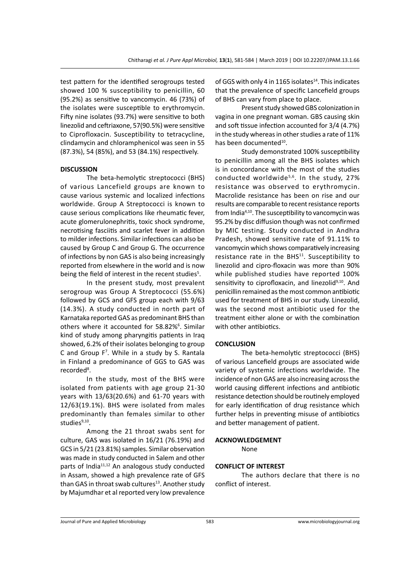test pattern for the identified serogroups tested showed 100 % susceptibility to penicillin, 60 (95.2%) as sensitive to vancomycin. 46 (73%) of the isolates were susceptible to erythromycin. Fifty nine isolates (93.7%) were sensitive to both linezolid and ceftriaxone, 57(90.5%) were sensitive to Ciprofloxacin. Susceptibility to tetracycline, clindamycin and chloramphenicol was seen in 55 (87.3%), 54 (85%), and 53 (84.1%) respectively.

#### **DISCUSSION**

The beta-hemolytic streptococci (BHS) of various Lancefield groups are known to cause various systemic and localized infections worldwide. Group A Streptococci is known to cause serious complications like rheumatic fever, acute glomerulonephritis, toxic shock syndrome, necrotising fasciitis and scarlet fever in addition to milder infections. Similar infections can also be caused by Group C and Group G. The occurrence of infections by non GAS is also being increasingly reported from elsewhere in the world and is now being the field of interest in the recent studies<sup>5</sup>.

In the present study, most prevalent serogroup was Group A Streptococci (55.6%) followed by GCS and GFS group each with 9/63 (14.3%). A study conducted in north part of Karnataka reported GAS as predominant BHS than others where it accounted for 58.82%<sup>6</sup>. Similar kind of study among pharyngitis patients in Iraq showed, 6.2% of their isolates belonging to group C and Group F<sup>7</sup>. While in a study by S. Rantala in Finland a predominance of GGS to GAS was recorded<sup>8</sup>.

In the study, most of the BHS were isolated from patients with age group 21-30 years with 13/63(20.6%) and 61-70 years with 12/63(19.1%). BHS were isolated from males predominantly than females similar to other studies $9,10$ .

Among the 21 throat swabs sent for culture, GAS was isolated in 16/21 (76.19%) and GCS in 5/21 (23.81%) samples. Similar observation was made in study conducted in Salem and other parts of India<sup>11,12</sup> An analogous study conducted in Assam, showed a high prevalence rate of GFS than GAS in throat swab cultures<sup>13</sup>. Another study by Majumdhar et al reported very low prevalence of GGS with only 4 in 1165 isolates $^{14}$ . This indicates that the prevalence of specific Lancefield groups of BHS can vary from place to place.

Present study showed GBS colonization in vagina in one pregnant woman. GBS causing skin and soft tissue infection accounted for 3/4 (4.7%) in the study whereas in other studies a rate of 11% has been documented<sup>10</sup>.

Study demonstrated 100% susceptibility to penicillin among all the BHS isolates which is in concordance with the most of the studies conducted worldwide<sup>5,6</sup>. In the study, 27% resistance was observed to erythromycin. Macrolide resistance has been on rise and our results are comparable to recent resistance reports from India<sup>4,10</sup>. The susceptibility to vancomycin was 95.2% by disc diffusion though was not confirmed by MIC testing. Study conducted in Andhra Pradesh, showed sensitive rate of 91.11% to vancomycin which shows comparatively increasing resistance rate in the BHS<sup>11</sup>. Susceptibility to linezolid and cipro-floxacin was more than 90% while published studies have reported 100% sensitivity to ciprofloxacin, and linezolid<sup>9,10</sup>. And penicillin remained as the most common antibiotic used for treatment of BHS in our study. Linezolid, was the second most antibiotic used for the treatment either alone or with the combination with other antibiotics.

#### **CONCLUSION**

The beta-hemolytic streptococci (BHS) of various Lancefield groups are associated wide variety of systemic infections worldwide. The incidence of non GAS are also increasing across the world causing different infections and antibiotic resistance detection should be routinely employed for early identification of drug resistance which further helps in preventing misuse of antibiotics and better management of patient.

#### **ACKNOWLEDGEMENT**

None

#### **CONFLICT OF INTEREST**

The authors declare that there is no conflict of interest.